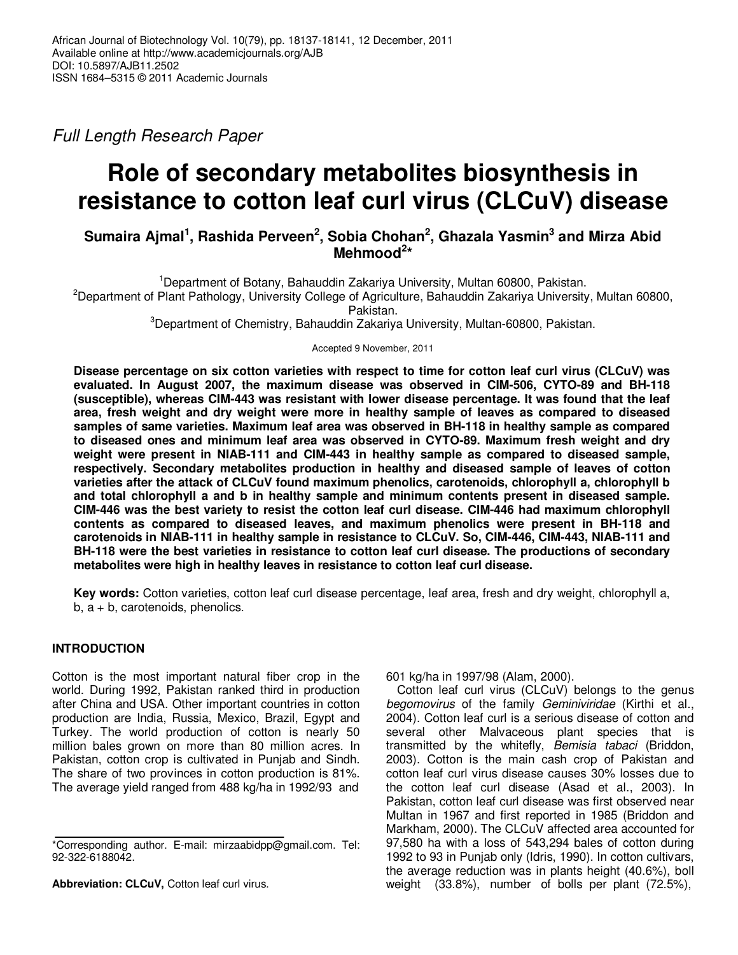Full Length Research Paper

# **Role of secondary metabolites biosynthesis in resistance to cotton leaf curl virus (CLCuV) disease**

# **Sumaira Ajmal<sup>1</sup> , Rashida Perveen<sup>2</sup> , Sobia Chohan<sup>2</sup> , Ghazala Yasmin<sup>3</sup> and Mirza Abid Mehmood<sup>2</sup> \***

<sup>1</sup>Department of Botany, Bahauddin Zakariya University, Multan 60800, Pakistan. <sup>2</sup>Department of Plant Pathology, University College of Agriculture, Bahauddin Zakariya University, Multan 60800, Pakistan.

<sup>3</sup>Department of Chemistry, Bahauddin Zakariya University, Multan-60800, Pakistan.

Accepted 9 November, 2011

**Disease percentage on six cotton varieties with respect to time for cotton leaf curl virus (CLCuV) was evaluated. In August 2007, the maximum disease was observed in CIM-506, CYTO-89 and BH-118 (susceptible), whereas CIM-443 was resistant with lower disease percentage. It was found that the leaf area, fresh weight and dry weight were more in healthy sample of leaves as compared to diseased samples of same varieties. Maximum leaf area was observed in BH-118 in healthy sample as compared to diseased ones and minimum leaf area was observed in CYTO-89. Maximum fresh weight and dry weight were present in NIAB-111 and CIM-443 in healthy sample as compared to diseased sample, respectively. Secondary metabolites production in healthy and diseased sample of leaves of cotton varieties after the attack of CLCuV found maximum phenolics, carotenoids, chlorophyll a, chlorophyll b and total chlorophyll a and b in healthy sample and minimum contents present in diseased sample. CIM-446 was the best variety to resist the cotton leaf curl disease. CIM-446 had maximum chlorophyll contents as compared to diseased leaves, and maximum phenolics were present in BH-118 and carotenoids in NIAB-111 in healthy sample in resistance to CLCuV. So, CIM-446, CIM-443, NIAB-111 and BH-118 were the best varieties in resistance to cotton leaf curl disease. The productions of secondary metabolites were high in healthy leaves in resistance to cotton leaf curl disease.** 

**Key words:** Cotton varieties, cotton leaf curl disease percentage, leaf area, fresh and dry weight, chlorophyll a,  $b, a + b$ , carotenoids, phenolics.

# **INTRODUCTION**

Cotton is the most important natural fiber crop in the world. During 1992, Pakistan ranked third in production after China and USA. Other important countries in cotton production are India, Russia, Mexico, Brazil, Egypt and Turkey. The world production of cotton is nearly 50 million bales grown on more than 80 million acres. In Pakistan, cotton crop is cultivated in Punjab and Sindh. The share of two provinces in cotton production is 81%. The average yield ranged from 488 kg/ha in 1992/93 and

**Abbreviation: CLCuV,** Cotton leaf curl virus.

601 kg/ha in 1997/98 (Alam, 2000).

Cotton leaf curl virus (CLCuV) belongs to the genus begomovirus of the family Geminiviridae (Kirthi et al., 2004). Cotton leaf curl is a serious disease of cotton and several other Malvaceous plant species that is transmitted by the whitefly, *Bemisia tabaci* (Briddon, 2003). Cotton is the main cash crop of Pakistan and cotton leaf curl virus disease causes 30% losses due to the cotton leaf curl disease (Asad et al., 2003). In Pakistan, cotton leaf curl disease was first observed near Multan in 1967 and first reported in 1985 (Briddon and Markham, 2000). The CLCuV affected area accounted for 97,580 ha with a loss of 543,294 bales of cotton during 1992 to 93 in Punjab only (Idris, 1990). In cotton cultivars, the average reduction was in plants height (40.6%), boll weight (33.8%), number of bolls per plant (72.5%),

<sup>\*</sup>Corresponding author. E-mail: mirzaabidpp@gmail.com. Tel: 92-322-6188042.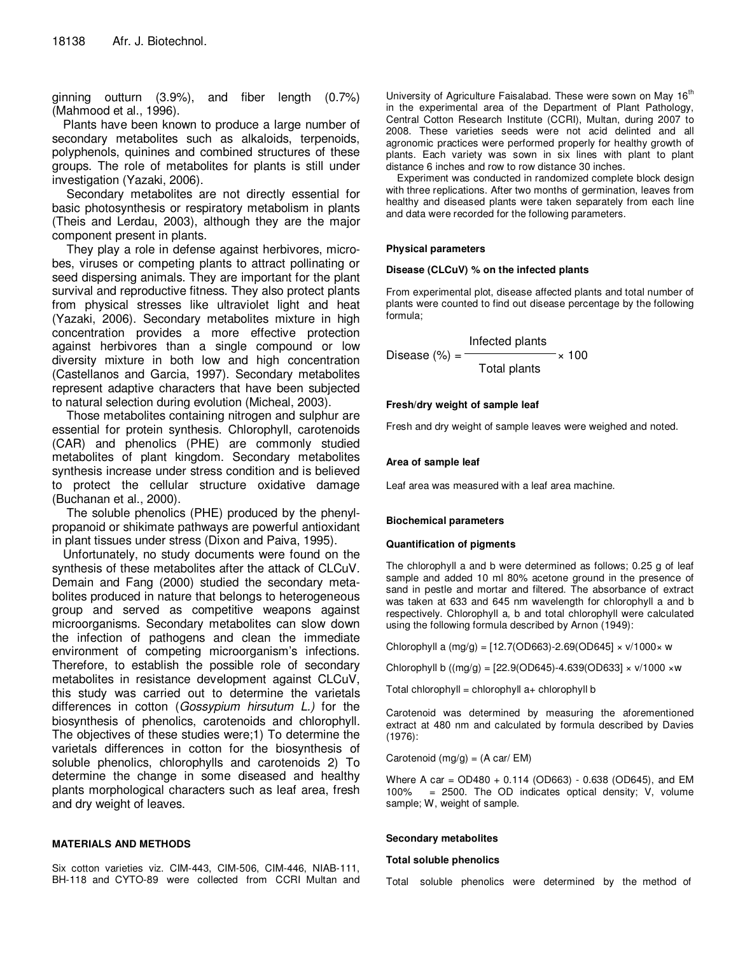ginning outturn (3.9%), and fiber length (0.7%) (Mahmood et al., 1996).

Plants have been known to produce a large number of secondary metabolites such as alkaloids, terpenoids, polyphenols, quinines and combined structures of these groups. The role of metabolites for plants is still under investigation (Yazaki, 2006).

 Secondary metabolites are not directly essential for basic photosynthesis or respiratory metabolism in plants (Theis and Lerdau, 2003), although they are the major component present in plants.

 They play a role in defense against herbivores, microbes, viruses or competing plants to attract pollinating or seed dispersing animals. They are important for the plant survival and reproductive fitness. They also protect plants from physical stresses like ultraviolet light and heat (Yazaki, 2006). Secondary metabolites mixture in high concentration provides a more effective protection against herbivores than a single compound or low diversity mixture in both low and high concentration (Castellanos and Garcia, 1997). Secondary metabolites represent adaptive characters that have been subjected to natural selection during evolution (Micheal, 2003).

 Those metabolites containing nitrogen and sulphur are essential for protein synthesis. Chlorophyll, carotenoids (CAR) and phenolics (PHE) are commonly studied metabolites of plant kingdom. Secondary metabolites synthesis increase under stress condition and is believed to protect the cellular structure oxidative damage (Buchanan et al., 2000).

 The soluble phenolics (PHE) produced by the phenylpropanoid or shikimate pathways are powerful antioxidant in plant tissues under stress (Dixon and Paiva, 1995).

Unfortunately, no study documents were found on the synthesis of these metabolites after the attack of CLCuV. Demain and Fang (2000) studied the secondary metabolites produced in nature that belongs to heterogeneous group and served as competitive weapons against microorganisms. Secondary metabolites can slow down the infection of pathogens and clean the immediate environment of competing microorganism's infections. Therefore, to establish the possible role of secondary metabolites in resistance development against CLCuV, this study was carried out to determine the varietals differences in cotton (Gossypium hirsutum L.) for the biosynthesis of phenolics, carotenoids and chlorophyll. The objectives of these studies were;1) To determine the varietals differences in cotton for the biosynthesis of soluble phenolics, chlorophylls and carotenoids 2) To determine the change in some diseased and healthy plants morphological characters such as leaf area, fresh and dry weight of leaves.

## **MATERIALS AND METHODS**

Six cotton varieties viz. CIM-443, CIM-506, CIM-446, NIAB-111, BH-118 and CYTO-89 were collected from CCRI Multan and

University of Agriculture Faisalabad. These were sown on May 16<sup>th</sup> in the experimental area of the Department of Plant Pathology, Central Cotton Research Institute (CCRI), Multan, during 2007 to 2008. These varieties seeds were not acid delinted and all agronomic practices were performed properly for healthy growth of plants. Each variety was sown in six lines with plant to plant distance 6 inches and row to row distance 30 inches.

Experiment was conducted in randomized complete block design with three replications. After two months of germination, leaves from healthy and diseased plants were taken separately from each line and data were recorded for the following parameters.

## **Physical parameters**

### **Disease (CLCuV) % on the infected plants**

From experimental plot, disease affected plants and total number of plants were counted to find out disease percentage by the following formula;

$$
Disease (%) = \frac{Infected plants}{Total plants} \times 100
$$

## **Fresh/dry weight of sample leaf**

Fresh and dry weight of sample leaves were weighed and noted.

## **Area of sample leaf**

Leaf area was measured with a leaf area machine.

#### **Biochemical parameters**

#### **Quantification of pigments**

The chlorophyll a and b were determined as follows; 0.25 g of leaf sample and added 10 ml 80% acetone ground in the presence of sand in pestle and mortar and filtered. The absorbance of extract was taken at 633 and 645 nm wavelength for chlorophyll a and b respectively. Chlorophyll a, b and total chlorophyll were calculated using the following formula described by Arnon (1949):

Chlorophyll a  $(mg/g) = [12.7(OD663)-2.69(OD645] \times V/1000 \times W]$ 

Chlorophyll b ((mg/g) = [22.9(OD645)-4.639(OD633] × v/1000 ×w

Total chlorophyll = chlorophyll  $a+$  chlorophyll b

Carotenoid was determined by measuring the aforementioned extract at 480 nm and calculated by formula described by Davies (1976):

Carotenoid  $(mg/g) = (A car / EM)$ 

Where A car =  $OD480 + 0.114$  (OD663) - 0.638 (OD645), and EM 100% = 2500. The OD indicates optical density; V, volume sample; W, weight of sample.

#### **Secondary metabolites**

#### **Total soluble phenolics**

Total soluble phenolics were determined by the method of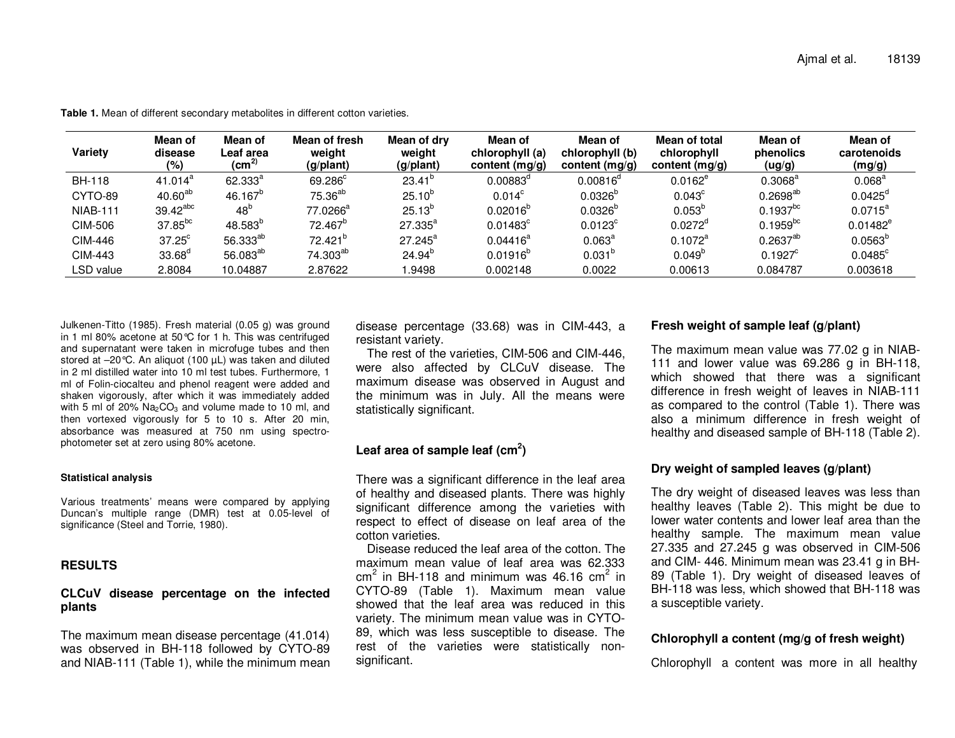| Variety         | Mean of<br>disease<br>$(\%)$ | Mean of<br>Leaf area<br>$\rm \left( cm^{2}\right)$ | Mean of fresh<br>weight<br>(g/plant) | Mean of dry<br>weight<br>(g/plant) | Mean of<br>chlorophyll (a)<br>content (mg/g) | Mean of<br>chlorophyll (b)<br>content (mg/g) | Mean of total<br>chlorophyll<br>content (mg/g) | Mean of<br>phenolics<br>(ug/g) | Mean of<br>carotenoids<br>(mg/g) |
|-----------------|------------------------------|----------------------------------------------------|--------------------------------------|------------------------------------|----------------------------------------------|----------------------------------------------|------------------------------------------------|--------------------------------|----------------------------------|
| <b>BH-118</b>   | 41.014 <sup>a</sup>          | $62.333^{a}$                                       | 69.286 <sup>c</sup>                  | $23.41^{\circ}$                    | $0.00883^{\circ}$                            | $0.00816^{\circ}$                            | $0.0162^e$                                     | $0.3068^{\text{a}}$            | $0.068^{\text{a}}$               |
| CYTO-89         | $40.60^{ab}$                 | $46.167^{\circ}$                                   | 75.36 <sup>ab</sup>                  | $25.10^{6}$                        | $0.014^c$                                    | $0.0326^{\circ}$                             | $0.043^{\circ}$                                | $0.2698^{ab}$                  | $0.0425^{\circ}$                 |
| <b>NIAB-111</b> | 39.42 <sup>abc</sup>         | 48 <sup>b</sup>                                    | $77.0266^a$                          | $25.13^{b}$                        | $0.02016^{b}$                                | $0.0326^{\circ}$                             | $0.053^{b}$                                    | $0.1937^{bc}$                  | $0.0715^a$                       |
| CIM-506         | 37.85 <sup>bc</sup>          | 48.583 <sup>p</sup>                                | $72.467^b$                           | $27.335^{a}$                       | $0.01483^c$                                  | $0.0123^c$                                   | $0.0272^d$                                     | $0.1959^{bc}$                  | $0.01482^e$                      |
| CIM-446         | $37.25^{\circ}$              | 56.333 <sup>ab</sup>                               | 72.421 <sup>b</sup>                  | $27.245^a$                         | $0.04416^a$                                  | $0.063^{\text{a}}$                           | $0.1072^a$                                     | $0.2637^{ab}$                  | $0.0563^{\circ}$                 |
| CIM-443         | 33.68 <sup>d</sup>           | 56.083 <sup>ab</sup>                               | 74.303 <sup>ab</sup>                 | $24.94^{b}$                        | $0.01916^{p}$                                | $0.031^{b}$                                  | $0.049^{b}$                                    | $0.1927^c$                     | $0.0485^{\circ}$                 |
| LSD value       | 2.8084                       | 10.04887                                           | 2.87622                              | .9498                              | 0.002148                                     | 0.0022                                       | 0.00613                                        | 0.084787                       | 0.003618                         |

**Table 1.** Mean of different secondary metabolites in different cotton varieties.

Julkenen-Titto (1985). Fresh material (0.05 g) was ground in 1 ml 80% acetone at 50°C for 1 h. This was centrifuged and supernatant were taken in microfuge tubes and then stored at –20°C. An aliquot (100 µL) was taken and diluted in 2 ml distilled water into 10 ml test tubes. Furthermore, 1 ml of Folin-ciocalteu and phenol reagent were added and shaken vigorously, after which it was immediately added with 5 ml of 20%  $Na<sub>2</sub>CO<sub>3</sub>$  and volume made to 10 ml, and then vortexed vigorously for 5 to 10 s. After 20 min, absorbance was measured at 750 nm using spectrophotometer set at zero using 80% acetone.

#### **Statistical analysis**

Various treatments' means were compared by applying Duncan's multiple range (DMR) test at 0.05-level ofsignificance (Steel and Torrie, 1980).

## **RESULTS**

## **CLCuV disease percentage on the infected plants**

The maximum mean disease percentage (41.014) was observed in BH-118 followed by CYTO-89 and NIAB-111 (Table 1), while the minimum mean disease percentage (33.68) was in CIM-443, a resistant variety.

 The rest of the varieties, CIM-506 and CIM-446, were also affected by CLCuV disease. The maximum disease was observed in August and the minimum was in July. All the means were statistically significant.

# **Leaf area of sample leaf (cm<sup>2</sup>)**

There was a significant difference in the leaf area of healthy and diseased plants. There was highly significant difference among the varieties with respect to effect of disease on leaf area of the cotton varieties.

 Disease reduced the leaf area of the cotton. The maximum mean value of leaf area was 62.333 cm<sup>2</sup> in BH-118 and minimum was 46.16 cm<sup>2</sup> in CYTO-89 (Table 1). Maximum mean value showed that the leaf area was reduced in this variety. The minimum mean value was in CYTO-89, which was less susceptible to disease. The rest of the varieties were statistically nonsignificant.

## **Fresh weight of sample leaf (g/plant)**

The maximum mean value was 77.02 g in NIAB-111 and lower value was 69.286 g in BH-118, which showed that there was a significant difference in fresh weight of leaves in NIAB-111 as compared to the control (Table 1). There was also a minimum difference in fresh weight of healthy and diseased sample of BH-118 (Table 2).

## **Dry weight of sampled leaves (g/plant)**

The dry weight of diseased leaves was less than healthy leaves (Table 2). This might be due to lower water contents and lower leaf area than the healthy sample. The maximum mean value 27.335 and 27.245 g was observed in CIM-506 and CIM- 446. Minimum mean was 23.41 g in BH-89 (Table 1). Dry weight of diseased leaves of BH-118 was less, which showed that BH-118 was a susceptible variety.

# **Chlorophyll a content (mg/g of fresh weight)**

Chlorophyll a content was more in all healthy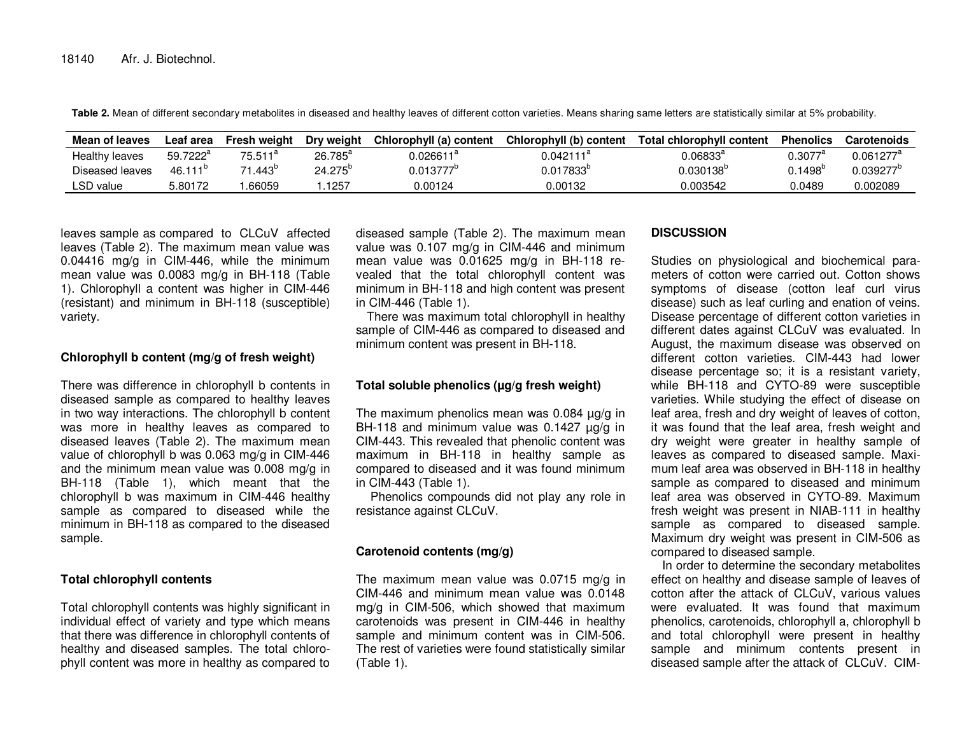Table 2. Mean of different secondary metabolites in diseased and healthy leaves of different cotton varieties. Means sharing same letters are statistically similar at 5% probability.

| Mean of leaves  | ∟eaf area            | Fresh weight      | Dry weight       | Chlorophyll (a) content | Chlorophyll (b) content   | Total chlorophyll content | <b>Phenolics</b> | <b>Carotenoids</b> |
|-----------------|----------------------|-------------------|------------------|-------------------------|---------------------------|---------------------------|------------------|--------------------|
| Healthy leaves  | 59.7222 <sup>a</sup> | $75.511^{\circ}$  | $26.785^{\circ}$ | $0.026611^{\mathrm{a}}$ | $0.042111^\text{\tiny a}$ | 0.06833°,                 | 0.3077           | $0.061277^{\circ}$ |
| Diseased leaves | 46.111               | .443 <sup>6</sup> | $24.275^{\circ}$ | 0.013777                | $0.017833^{\circ}$        | $0.030138^{\circ}$        | $0.1498^\circ$   | 0.039277           |
| LSD value       | 5.80172              | .66059            | 1257             | 0.00124                 | 0.00132                   | 0.003542                  | 0.0489           | 0.002089           |

leaves sample as compared to CLCuV affected leaves (Table 2). The maximum mean value was 0.04416 mg/g in CIM-446, while the minimum mean value was 0.0083 mg/g in BH-118 (Table 1). Chlorophyll a content was higher in CIM-446 (resistant) and minimum in BH-118 (susceptible) variety.

# **Chlorophyll b content (mg/g of fresh weight)**

There was difference in chlorophyll b contents in diseased sample as compared to healthy leaves in two way interactions. The chlorophyll b content was more in healthy leaves as compared to diseased leaves (Table 2). The maximum mean value of chlorophyll b was 0.063 mg/g in CIM-446 and the minimum mean value was 0.008 mg/g in BH-118 (Table 1), which meant that the chlorophyll b was maximum in CIM-446 healthy sample as compared to diseased while the minimum in BH-118 as compared to the diseased sample.

# **Total chlorophyll contents**

Total chlorophyll contents was highly significant in individual effect of variety and type which means that there was difference in chlorophyll contents of healthy and diseased samples. The total chlorophyll content was more in healthy as compared to

diseased sample (Table 2). The maximum mean value was 0.107 mg/g in CIM-446 and minimum mean value was 0.01625 mg/g in BH-118 revealed that the total chlorophyll content was minimum in BH-118 and high content was present in CIM-446 (Table 1).

 There was maximum total chlorophyll in healthy sample of CIM-446 as compared to diseased and minimum content was present in BH-118.

## **Total soluble phenolics (µg/g fresh weight)**

The maximum phenolics mean was  $0.084 \mu g/g$  in BH-118 and minimum value was 0.1427 µg/g in CIM-443. This revealed that phenolic content was maximum in BH-118 in healthy sample as compared to diseased and it was found minimum in CIM-443 (Table 1).

 Phenolics compounds did not play any role in resistance against CLCuV.

# **Carotenoid contents (mg/g)**

The maximum mean value was 0.0715 mg/g in CIM-446 and minimum mean value was 0.0148 mg/g in CIM-506, which showed that maximum carotenoids was present in CIM-446 in healthy sample and minimum content was in CIM-506. The rest of varieties were found statistically similar (Table 1).

# **DISCUSSION**

Studies on physiological and biochemical parameters of cotton were carried out. Cotton shows symptoms of disease (cotton leaf curl virus disease) such as leaf curling and enation of veins. Disease percentage of different cotton varieties in different dates against CLCuV was evaluated. In August, the maximum disease was observed on different cotton varieties. CIM-443 had lower disease percentage so; it is a resistant variety, while BH-118 and CYTO-89 were susceptible varieties. While studying the effect of disease on leaf area, fresh and dry weight of leaves of cotton, it was found that the leaf area, fresh weight and dry weight were greater in healthy sample of leaves as compared to diseased sample. Maximum leaf area was observed in BH-118 in healthy sample as compared to diseased and minimum leaf area was observed in CYTO-89. Maximum fresh weight was present in NIAB-111 in healthy sample as compared to diseased sample. Maximum dry weight was present in CIM-506 as compared to diseased sample.

 In order to determine the secondary metabolites effect on healthy and disease sample of leaves of cotton after the attack of CLCuV, various values were evaluated. It was found that maximum phenolics, carotenoids, chlorophyll a, chlorophyll b and total chlorophyll were present in healthy sample and minimum contents present in diseased sample after the attack of CLCuV. CIM-